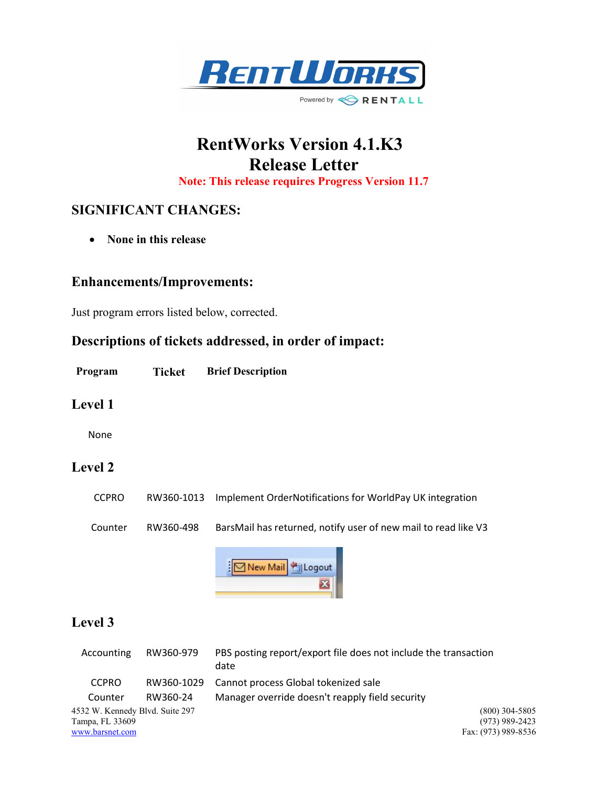

# RentWorks Version 4.1.K3 Release Letter

Note: This release requires Progress Version 11.7

# SIGNIFICANT CHANGES:

• None in this release

#### Enhancements/Improvements:

Just program errors listed below, corrected.

## Descriptions of tickets addressed, in order of impact:

Program Ticket Brief Description

#### Level 1

None

### Level 2

CCPRO RW360-1013 Implement OrderNotifications for WorldPay UK integration Counter RW360-498 BarsMail has returned, notify user of new mail to read like V3



## Level 3

| Accounting                      | RW360-979  | PBS posting report/export file does not include the transaction<br>date |
|---------------------------------|------------|-------------------------------------------------------------------------|
| <b>CCPRO</b>                    | RW360-1029 | Cannot process Global tokenized sale                                    |
| Counter                         | RW360-24   | Manager override doesn't reapply field security                         |
| 4532 W. Kennedy Blvd. Suite 297 |            | $(800)$ 304-5805                                                        |
| Tampa, FL 33609                 |            | $(973)$ 989-2423                                                        |
| www.barsnet.com                 |            | Fax: (973) 989-8536                                                     |